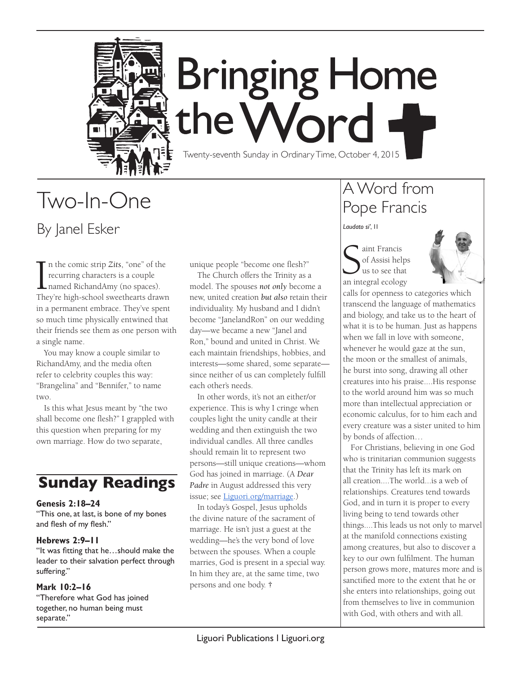

# **Bringing Home** the Word

Twenty-seventh Sunday in Ordinary Time, October 4, 2015

## Two-In-One By Janel Esker

 $\prod_{\text{The }$ n the comic strip *Zits*, "one" of the recurring characters is a couple named RichandAmy (no spaces). They're high-school sweethearts drawn in a permanent embrace. They've spent so much time physically entwined that their friends see them as one person with a single name.

You may know a couple similar to RichandAmy, and the media often refer to celebrity couples this way: "Brangelina" and "Bennifer," to name two.

Is this what Jesus meant by "the two shall become one flesh?" I grappled with this question when preparing for my own marriage. How do two separate,

### **Sunday Readings**

#### **Genesis 2:18–24**

"This one, at last, is bone of my bones and flesh of my flesh."

#### **Hebrews 2:9–11**

"It was fitting that he…should make the leader to their salvation perfect through suffering."

#### **Mark 10:2–16**

"Therefore what God has joined together, no human being must separate."

unique people "become one flesh?"

The Church offers the Trinity as a model. The spouses *not only* become a new, united creation *but also* retain their individuality. My husband and I didn't become "JanelandRon" on our wedding day—we became a new "Janel and Ron," bound and united in Christ. We each maintain friendships, hobbies, and interests—some shared, some separate since neither of us can completely fulfill each other's needs.

In other words, it's not an either/or experience. This is why I cringe when couples light the unity candle at their wedding and then extinguish the two individual candles. All three candles should remain lit to represent two persons—still unique creations—whom God has joined in marriage. (A *Dear Padre* in August addressed this very issue; see Liguori.org/marriage.)

In today's Gospel, Jesus upholds the divine nature of the sacrament of marriage. He isn't just a guest at the wedding—he's the very bond of love between the spouses. When a couple marries, God is present in a special way. In him they are, at the same time, two persons and one body. **†**

## A Word from Pope Francis

*Laudato si'*, 11

Sunt Francis<br>
of Assisi helps<br>
us to see that<br>
an integral ecology aint Francis of Assisi helps us to see that



calls for openness to categories which transcend the language of mathematics and biology, and take us to the heart of what it is to be human. Just as happens when we fall in love with someone, whenever he would gaze at the sun, the moon or the smallest of animals, he burst into song, drawing all other creatures into his praise....His response to the world around him was so much more than intellectual appreciation or economic calculus, for to him each and every creature was a sister united to him by bonds of affection…

For Christians, believing in one God who is trinitarian communion suggests that the Trinity has left its mark on all creation....The world...is a web of relationships. Creatures tend towards God, and in turn it is proper to every living being to tend towards other things....This leads us not only to marvel at the manifold connections existing among creatures, but also to discover a key to our own fulfilment. The human person grows more, matures more and is sanctified more to the extent that he or she enters into relationships, going out from themselves to live in communion with God, with others and with all.